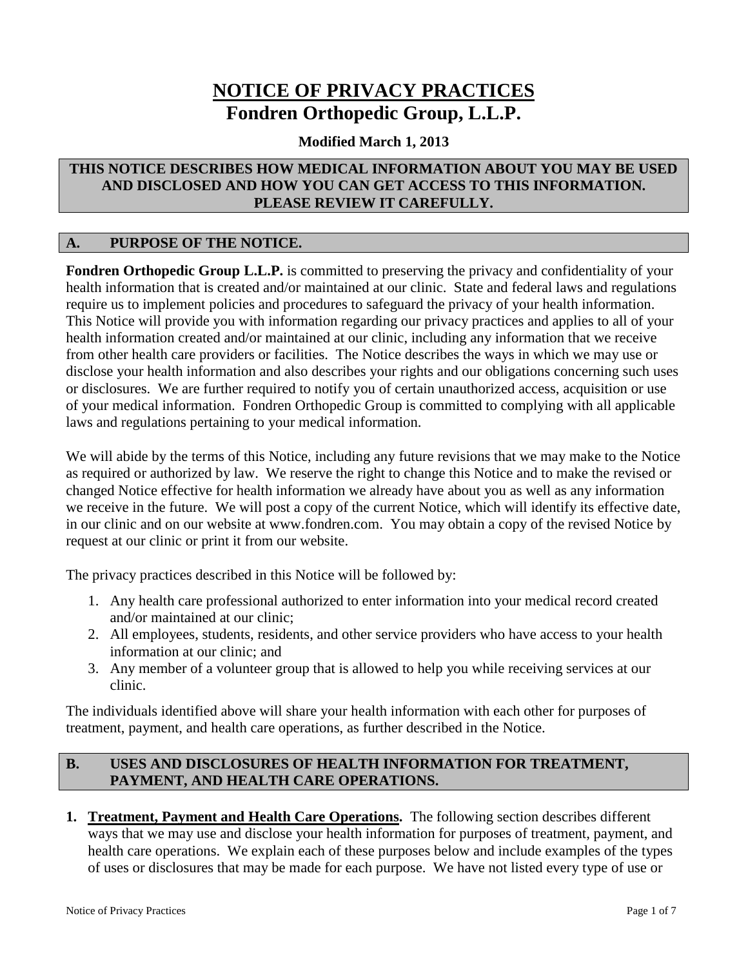# **NOTICE OF PRIVACY PRACTICES Fondren Orthopedic Group, L.L.P.**

## **Modified March 1, 2013**

## **THIS NOTICE DESCRIBES HOW MEDICAL INFORMATION ABOUT YOU MAY BE USED AND DISCLOSED AND HOW YOU CAN GET ACCESS TO THIS INFORMATION. PLEASE REVIEW IT CAREFULLY.**

## **A. PURPOSE OF THE NOTICE.**

**Fondren Orthopedic Group L.L.P.** is committed to preserving the privacy and confidentiality of your health information that is created and/or maintained at our clinic. State and federal laws and regulations require us to implement policies and procedures to safeguard the privacy of your health information. This Notice will provide you with information regarding our privacy practices and applies to all of your health information created and/or maintained at our clinic, including any information that we receive from other health care providers or facilities. The Notice describes the ways in which we may use or disclose your health information and also describes your rights and our obligations concerning such uses or disclosures. We are further required to notify you of certain unauthorized access, acquisition or use of your medical information. Fondren Orthopedic Group is committed to complying with all applicable laws and regulations pertaining to your medical information.

We will abide by the terms of this Notice, including any future revisions that we may make to the Notice as required or authorized by law. We reserve the right to change this Notice and to make the revised or changed Notice effective for health information we already have about you as well as any information we receive in the future. We will post a copy of the current Notice, which will identify its effective date, in our clinic and on our website at www.fondren.com. You may obtain a copy of the revised Notice by request at our clinic or print it from our website.

The privacy practices described in this Notice will be followed by:

- 1. Any health care professional authorized to enter information into your medical record created and/or maintained at our clinic;
- 2. All employees, students, residents, and other service providers who have access to your health information at our clinic; and
- 3. Any member of a volunteer group that is allowed to help you while receiving services at our clinic.

The individuals identified above will share your health information with each other for purposes of treatment, payment, and health care operations, as further described in the Notice.

## **B. USES AND DISCLOSURES OF HEALTH INFORMATION FOR TREATMENT, PAYMENT, AND HEALTH CARE OPERATIONS.**

**1. Treatment, Payment and Health Care Operations.** The following section describes different ways that we may use and disclose your health information for purposes of treatment, payment, and health care operations. We explain each of these purposes below and include examples of the types of uses or disclosures that may be made for each purpose. We have not listed every type of use or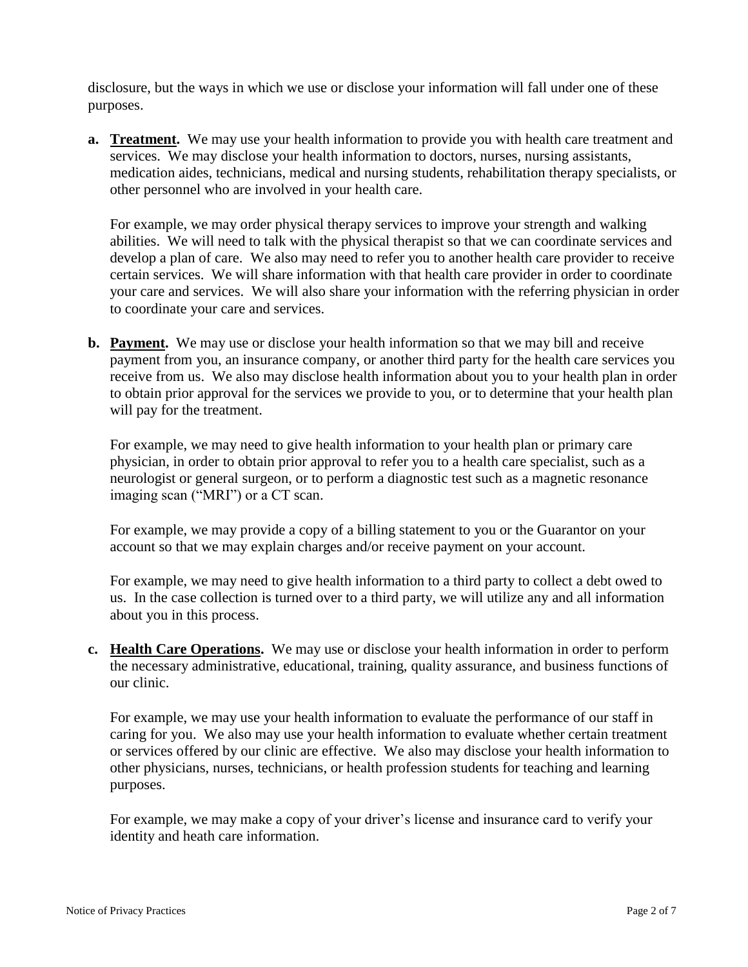disclosure, but the ways in which we use or disclose your information will fall under one of these purposes.

**a. Treatment.** We may use your health information to provide you with health care treatment and services. We may disclose your health information to doctors, nurses, nursing assistants, medication aides, technicians, medical and nursing students, rehabilitation therapy specialists, or other personnel who are involved in your health care.

For example, we may order physical therapy services to improve your strength and walking abilities. We will need to talk with the physical therapist so that we can coordinate services and develop a plan of care. We also may need to refer you to another health care provider to receive certain services. We will share information with that health care provider in order to coordinate your care and services. We will also share your information with the referring physician in order to coordinate your care and services.

**b. Payment.** We may use or disclose your health information so that we may bill and receive payment from you, an insurance company, or another third party for the health care services you receive from us. We also may disclose health information about you to your health plan in order to obtain prior approval for the services we provide to you, or to determine that your health plan will pay for the treatment.

For example, we may need to give health information to your health plan or primary care physician, in order to obtain prior approval to refer you to a health care specialist, such as a neurologist or general surgeon, or to perform a diagnostic test such as a magnetic resonance imaging scan ("MRI") or a CT scan.

For example, we may provide a copy of a billing statement to you or the Guarantor on your account so that we may explain charges and/or receive payment on your account.

For example, we may need to give health information to a third party to collect a debt owed to us. In the case collection is turned over to a third party, we will utilize any and all information about you in this process.

**c. Health Care Operations.** We may use or disclose your health information in order to perform the necessary administrative, educational, training, quality assurance, and business functions of our clinic.

For example, we may use your health information to evaluate the performance of our staff in caring for you. We also may use your health information to evaluate whether certain treatment or services offered by our clinic are effective. We also may disclose your health information to other physicians, nurses, technicians, or health profession students for teaching and learning purposes.

For example, we may make a copy of your driver's license and insurance card to verify your identity and heath care information.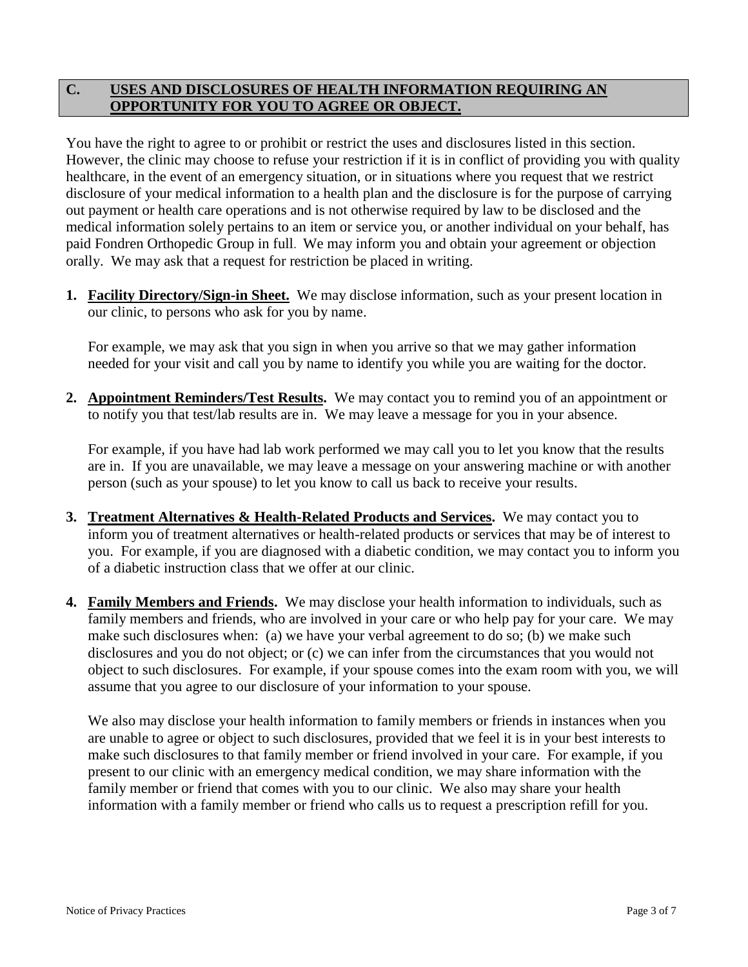## **C. USES AND DISCLOSURES OF HEALTH INFORMATION REQUIRING AN OPPORTUNITY FOR YOU TO AGREE OR OBJECT.**

You have the right to agree to or prohibit or restrict the uses and disclosures listed in this section. However, the clinic may choose to refuse your restriction if it is in conflict of providing you with quality healthcare, in the event of an emergency situation, or in situations where you request that we restrict disclosure of your medical information to a health plan and the disclosure is for the purpose of carrying out payment or health care operations and is not otherwise required by law to be disclosed and the medical information solely pertains to an item or service you, or another individual on your behalf, has paid Fondren Orthopedic Group in full. We may inform you and obtain your agreement or objection orally. We may ask that a request for restriction be placed in writing.

**1. Facility Directory/Sign-in Sheet.** We may disclose information, such as your present location in our clinic, to persons who ask for you by name.

For example, we may ask that you sign in when you arrive so that we may gather information needed for your visit and call you by name to identify you while you are waiting for the doctor.

**2. Appointment Reminders/Test Results.** We may contact you to remind you of an appointment or to notify you that test/lab results are in. We may leave a message for you in your absence.

For example, if you have had lab work performed we may call you to let you know that the results are in. If you are unavailable, we may leave a message on your answering machine or with another person (such as your spouse) to let you know to call us back to receive your results.

- **3. Treatment Alternatives & Health-Related Products and Services.** We may contact you to inform you of treatment alternatives or health-related products or services that may be of interest to you. For example, if you are diagnosed with a diabetic condition, we may contact you to inform you of a diabetic instruction class that we offer at our clinic.
- **4. Family Members and Friends.** We may disclose your health information to individuals, such as family members and friends, who are involved in your care or who help pay for your care. We may make such disclosures when: (a) we have your verbal agreement to do so; (b) we make such disclosures and you do not object; or (c) we can infer from the circumstances that you would not object to such disclosures. For example, if your spouse comes into the exam room with you, we will assume that you agree to our disclosure of your information to your spouse.

We also may disclose your health information to family members or friends in instances when you are unable to agree or object to such disclosures, provided that we feel it is in your best interests to make such disclosures to that family member or friend involved in your care. For example, if you present to our clinic with an emergency medical condition, we may share information with the family member or friend that comes with you to our clinic. We also may share your health information with a family member or friend who calls us to request a prescription refill for you.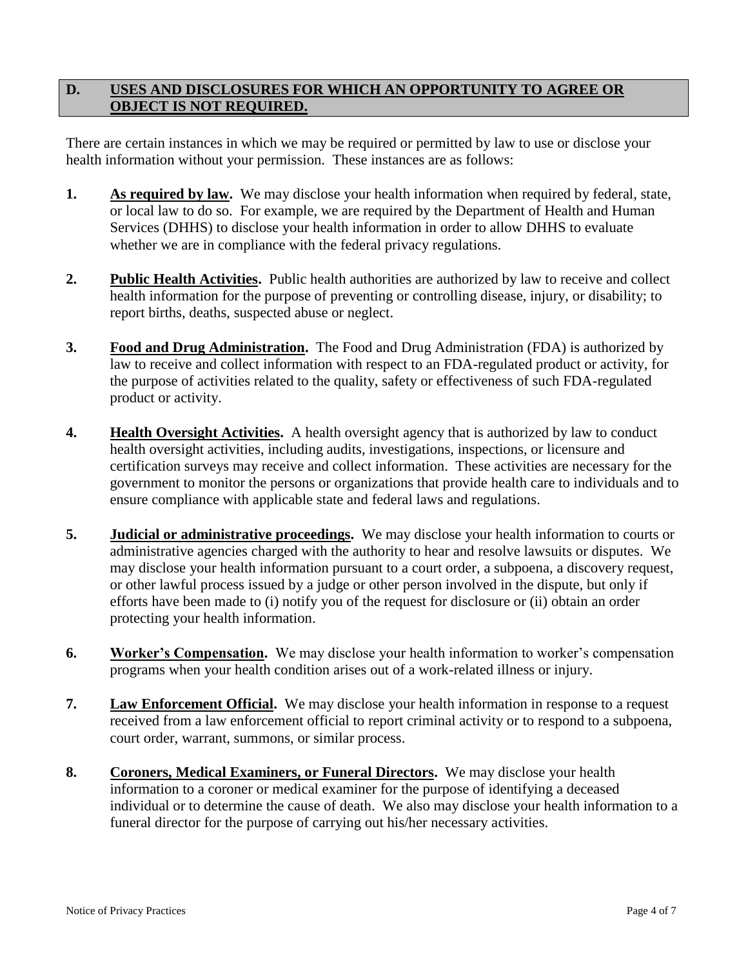## **D. USES AND DISCLOSURES FOR WHICH AN OPPORTUNITY TO AGREE OR OBJECT IS NOT REQUIRED.**

There are certain instances in which we may be required or permitted by law to use or disclose your health information without your permission. These instances are as follows:

- **1. As required by law.** We may disclose your health information when required by federal, state, or local law to do so. For example, we are required by the Department of Health and Human Services (DHHS) to disclose your health information in order to allow DHHS to evaluate whether we are in compliance with the federal privacy regulations.
- **2. Public Health Activities.** Public health authorities are authorized by law to receive and collect health information for the purpose of preventing or controlling disease, injury, or disability; to report births, deaths, suspected abuse or neglect.
- **3. Food and Drug Administration.** The Food and Drug Administration (FDA) is authorized by law to receive and collect information with respect to an FDA-regulated product or activity, for the purpose of activities related to the quality, safety or effectiveness of such FDA-regulated product or activity.
- **4. Health Oversight Activities.** A health oversight agency that is authorized by law to conduct health oversight activities, including audits, investigations, inspections, or licensure and certification surveys may receive and collect information. These activities are necessary for the government to monitor the persons or organizations that provide health care to individuals and to ensure compliance with applicable state and federal laws and regulations.
- **5. Judicial or administrative proceedings.** We may disclose your health information to courts or administrative agencies charged with the authority to hear and resolve lawsuits or disputes. We may disclose your health information pursuant to a court order, a subpoena, a discovery request, or other lawful process issued by a judge or other person involved in the dispute, but only if efforts have been made to (i) notify you of the request for disclosure or (ii) obtain an order protecting your health information.
- **6. Worker's Compensation.** We may disclose your health information to worker's compensation programs when your health condition arises out of a work-related illness or injury.
- **7. Law Enforcement Official.** We may disclose your health information in response to a request received from a law enforcement official to report criminal activity or to respond to a subpoena, court order, warrant, summons, or similar process.
- **8. Coroners, Medical Examiners, or Funeral Directors.** We may disclose your health information to a coroner or medical examiner for the purpose of identifying a deceased individual or to determine the cause of death. We also may disclose your health information to a funeral director for the purpose of carrying out his/her necessary activities.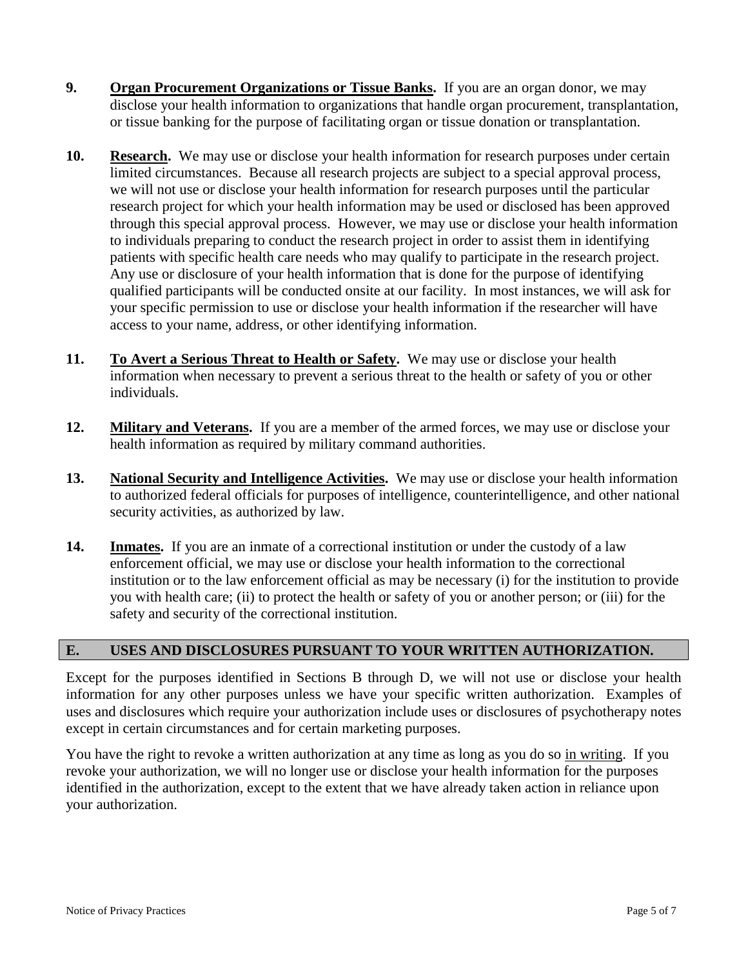- **9. Organ Procurement Organizations or Tissue Banks.** If you are an organ donor, we may disclose your health information to organizations that handle organ procurement, transplantation, or tissue banking for the purpose of facilitating organ or tissue donation or transplantation.
- **10. Research.** We may use or disclose your health information for research purposes under certain limited circumstances. Because all research projects are subject to a special approval process, we will not use or disclose your health information for research purposes until the particular research project for which your health information may be used or disclosed has been approved through this special approval process. However, we may use or disclose your health information to individuals preparing to conduct the research project in order to assist them in identifying patients with specific health care needs who may qualify to participate in the research project. Any use or disclosure of your health information that is done for the purpose of identifying qualified participants will be conducted onsite at our facility. In most instances, we will ask for your specific permission to use or disclose your health information if the researcher will have access to your name, address, or other identifying information.
- **11. To Avert a Serious Threat to Health or Safety.** We may use or disclose your health information when necessary to prevent a serious threat to the health or safety of you or other individuals.
- **12. Military and Veterans.** If you are a member of the armed forces, we may use or disclose your health information as required by military command authorities.
- **13. National Security and Intelligence Activities.** We may use or disclose your health information to authorized federal officials for purposes of intelligence, counterintelligence, and other national security activities, as authorized by law.
- **14. Inmates.** If you are an inmate of a correctional institution or under the custody of a law enforcement official, we may use or disclose your health information to the correctional institution or to the law enforcement official as may be necessary (i) for the institution to provide you with health care; (ii) to protect the health or safety of you or another person; or (iii) for the safety and security of the correctional institution.

## **E. USES AND DISCLOSURES PURSUANT TO YOUR WRITTEN AUTHORIZATION.**

Except for the purposes identified in Sections B through D, we will not use or disclose your health information for any other purposes unless we have your specific written authorization. Examples of uses and disclosures which require your authorization include uses or disclosures of psychotherapy notes except in certain circumstances and for certain marketing purposes.

You have the right to revoke a written authorization at any time as long as you do so in writing. If you revoke your authorization, we will no longer use or disclose your health information for the purposes identified in the authorization, except to the extent that we have already taken action in reliance upon your authorization.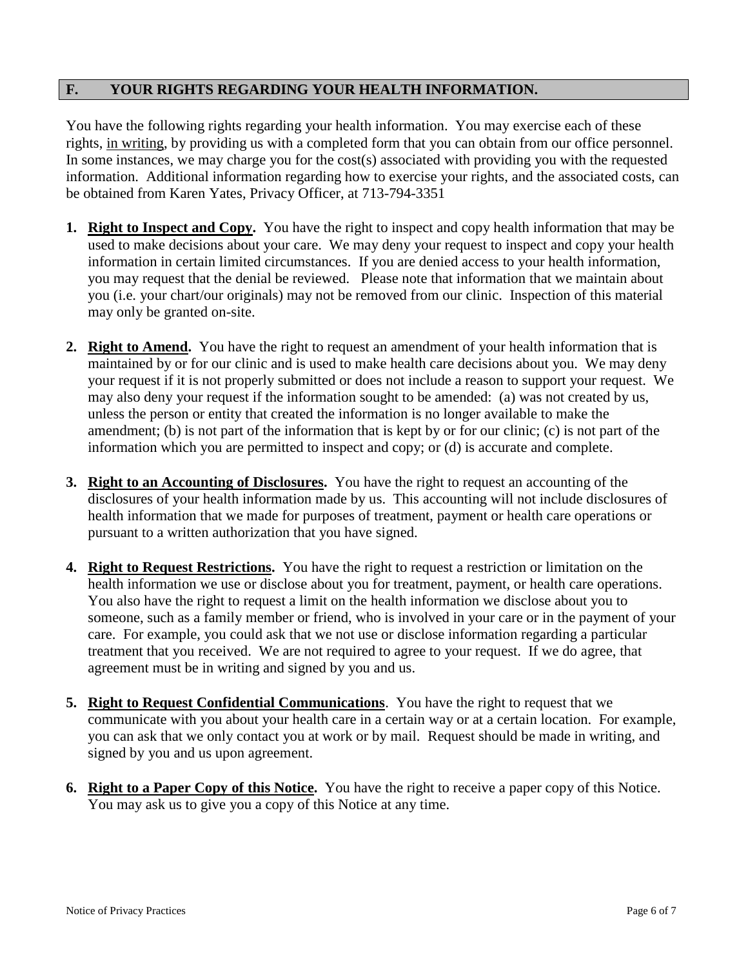## **F. YOUR RIGHTS REGARDING YOUR HEALTH INFORMATION.**

You have the following rights regarding your health information. You may exercise each of these rights, in writing, by providing us with a completed form that you can obtain from our office personnel. In some instances, we may charge you for the cost(s) associated with providing you with the requested information. Additional information regarding how to exercise your rights, and the associated costs, can be obtained from Karen Yates, Privacy Officer, at 713-794-3351

- **1. Right to Inspect and Copy.** You have the right to inspect and copy health information that may be used to make decisions about your care. We may deny your request to inspect and copy your health information in certain limited circumstances. If you are denied access to your health information, you may request that the denial be reviewed. Please note that information that we maintain about you (i.e. your chart/our originals) may not be removed from our clinic. Inspection of this material may only be granted on-site.
- **2. Right to Amend.** You have the right to request an amendment of your health information that is maintained by or for our clinic and is used to make health care decisions about you. We may deny your request if it is not properly submitted or does not include a reason to support your request. We may also deny your request if the information sought to be amended: (a) was not created by us, unless the person or entity that created the information is no longer available to make the amendment; (b) is not part of the information that is kept by or for our clinic; (c) is not part of the information which you are permitted to inspect and copy; or (d) is accurate and complete.
- **3. Right to an Accounting of Disclosures.** You have the right to request an accounting of the disclosures of your health information made by us. This accounting will not include disclosures of health information that we made for purposes of treatment, payment or health care operations or pursuant to a written authorization that you have signed.
- **4. Right to Request Restrictions.** You have the right to request a restriction or limitation on the health information we use or disclose about you for treatment, payment, or health care operations. You also have the right to request a limit on the health information we disclose about you to someone, such as a family member or friend, who is involved in your care or in the payment of your care. For example, you could ask that we not use or disclose information regarding a particular treatment that you received. We are not required to agree to your request. If we do agree, that agreement must be in writing and signed by you and us.
- **5. Right to Request Confidential Communications**. You have the right to request that we communicate with you about your health care in a certain way or at a certain location. For example, you can ask that we only contact you at work or by mail. Request should be made in writing, and signed by you and us upon agreement.
- **6. Right to a Paper Copy of this Notice.** You have the right to receive a paper copy of this Notice. You may ask us to give you a copy of this Notice at any time.